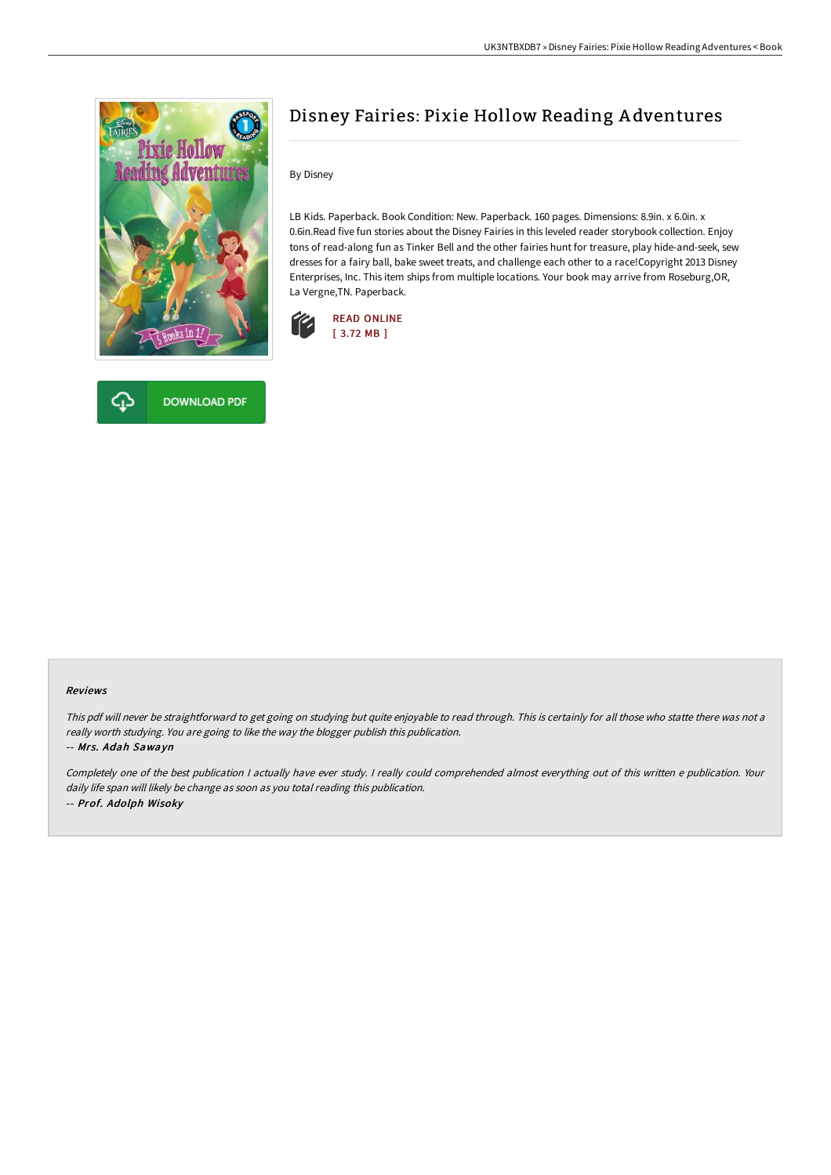

**DOWNLOAD PDF** 



By Disney

LB Kids. Paperback. Book Condition: New. Paperback. 160 pages. Dimensions: 8.9in. x 6.0in. x 0.6in.Read five fun stories about the Disney Fairies in this leveled reader storybook collection. Enjoy tons of read-along fun as Tinker Bell and the other fairies hunt for treasure, play hide-and-seek, sew dresses for a fairy ball, bake sweet treats, and challenge each other to a race!Copyright 2013 Disney Enterprises, Inc. This item ships from multiple locations. Your book may arrive from Roseburg,OR, La Vergne,TN. Paperback.



#### Reviews

This pdf will never be straightforward to get going on studying but quite enjoyable to read through. This is certainly for all those who statte there was not <sup>a</sup> really worth studying. You are going to like the way the blogger publish this publication.

#### -- Mrs. Adah Sawayn

Completely one of the best publication <sup>I</sup> actually have ever study. <sup>I</sup> really could comprehended almost everything out of this written <sup>e</sup> publication. Your daily life span will likely be change as soon as you total reading this publication. -- Prof. Adolph Wisoky